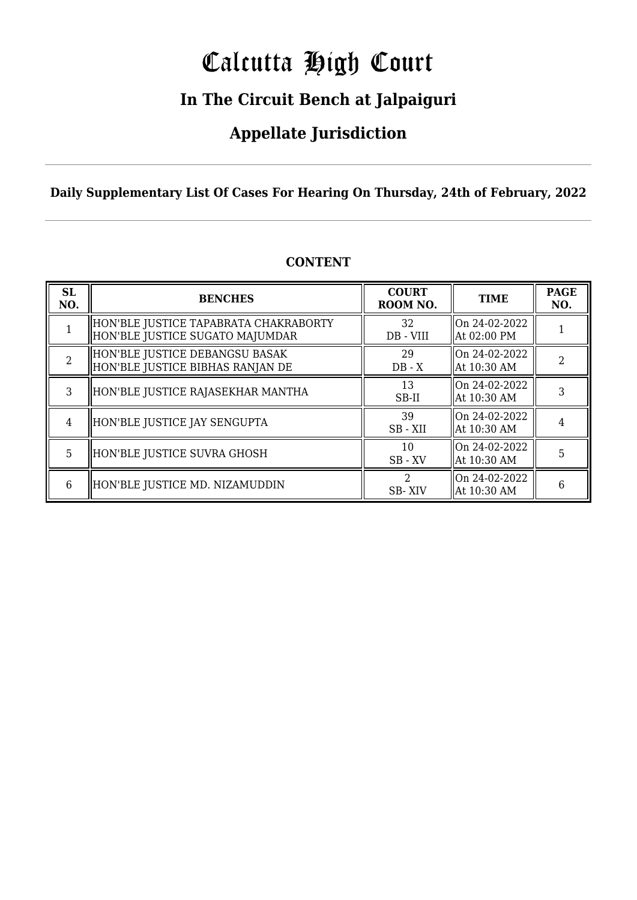# Calcutta High Court

### **In The Circuit Bench at Jalpaiguri**

### **Appellate Jurisdiction**

**Daily Supplementary List Of Cases For Hearing On Thursday, 24th of February, 2022**

| <b>SL</b><br>NO. | <b>BENCHES</b>                                                            | <b>COURT</b><br>ROOM NO. | <b>TIME</b>                     | <b>PAGE</b><br>NO. |
|------------------|---------------------------------------------------------------------------|--------------------------|---------------------------------|--------------------|
|                  | HON'BLE JUSTICE TAPABRATA CHAKRABORTY <br>HON'BLE JUSTICE SUGATO MAJUMDAR | 32<br>DB - VIII          | On 24-02-2022<br>At 02:00 PM    |                    |
| $\mathcal{D}$    | HON'BLE JUSTICE DEBANGSU BASAK<br>HON'BLE JUSTICE BIBHAS RANJAN DE        | 29<br>$DB - X$           | On 24-02-2022<br>  At 10:30 AM  | 2                  |
| 3                | HON'BLE JUSTICE RAJASEKHAR MANTHA                                         | 13<br>SB-II              | On 24-02-2022<br>  At 10:30 AM  |                    |
| 4                | HON'BLE JUSTICE JAY SENGUPTA                                              | 39<br>SB-XII             | lon 24-02-2022<br>  At 10:30 AM |                    |
| 5                | HON'BLE JUSTICE SUVRA GHOSH                                               | 10<br>$SB$ - $XV$        | lOn 24-02-2022<br>  At 10:30 AM | 5                  |
| 6                | HON'BLE JUSTICE MD. NIZAMUDDIN                                            | <b>SB-XIV</b>            | On 24-02-2022<br>  At 10:30 AM  | 6                  |

### **CONTENT**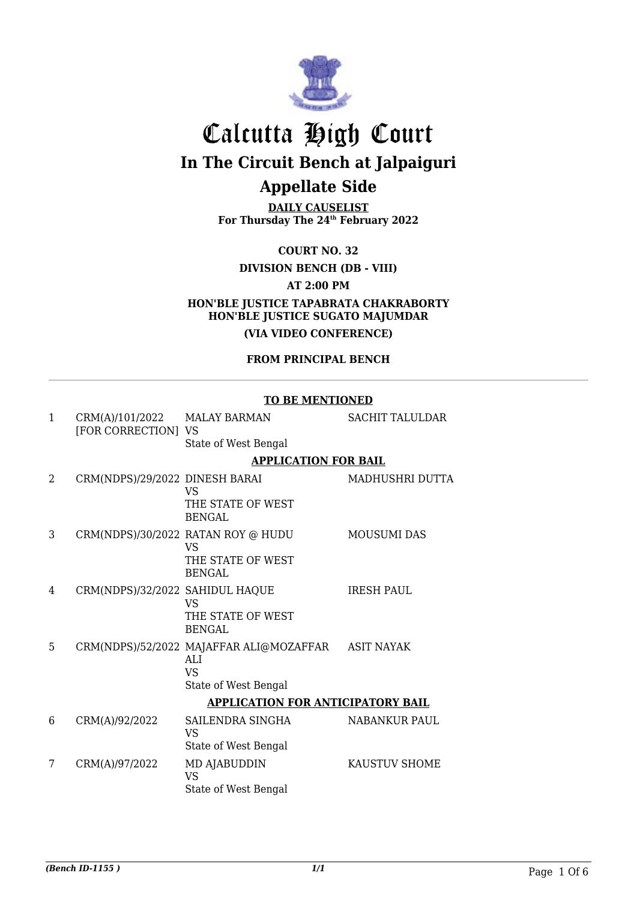

**DAILY CAUSELIST For Thursday The 24th February 2022**

**COURT NO. 32**

#### **DIVISION BENCH (DB - VIII)**

**AT 2:00 PM**

**HON'BLE JUSTICE TAPABRATA CHAKRABORTY HON'BLE JUSTICE SUGATO MAJUMDAR (VIA VIDEO CONFERENCE)**

### **FROM PRINCIPAL BENCH**

|                |                                        | <b>TO BE MENTIONED</b>                         |                        |  |
|----------------|----------------------------------------|------------------------------------------------|------------------------|--|
| $\mathbf{1}$   | CRM(A)/101/2022<br>[FOR CORRECTION] VS | <b>MALAY BARMAN</b>                            | <b>SACHIT TALULDAR</b> |  |
|                |                                        | State of West Bengal                           |                        |  |
|                |                                        | <b>APPLICATION FOR BAIL</b>                    |                        |  |
| $\mathfrak{D}$ | CRM(NDPS)/29/2022 DINESH BARAI         | VS                                             | MADHUSHRI DUTTA        |  |
|                |                                        | THE STATE OF WEST<br><b>BENGAL</b>             |                        |  |
| 3              |                                        | CRM(NDPS)/30/2022 RATAN ROY @ HUDU<br>VS       | <b>MOUSUMI DAS</b>     |  |
|                |                                        | THE STATE OF WEST<br><b>BENGAL</b>             |                        |  |
| 4              | CRM(NDPS)/32/2022 SAHIDUL HAQUE        | <b>VS</b>                                      | <b>IRESH PAUL</b>      |  |
|                |                                        | THE STATE OF WEST<br><b>BENGAL</b>             |                        |  |
| 5              |                                        | CRM(NDPS)/52/2022 MAJAFFAR ALI@MOZAFFAR<br>ALI | <b>ASIT NAYAK</b>      |  |
|                |                                        | <b>VS</b>                                      |                        |  |
|                |                                        | State of West Bengal                           |                        |  |
|                |                                        | <b>APPLICATION FOR ANTICIPATORY BAIL</b>       |                        |  |
| 6              | CRM(A)/92/2022                         | SAILENDRA SINGHA<br><b>VS</b>                  | <b>NABANKUR PAUL</b>   |  |
|                |                                        | State of West Bengal                           |                        |  |
| 7              | CRM(A)/97/2022                         | MD AJABUDDIN<br><b>VS</b>                      | <b>KAUSTUV SHOME</b>   |  |
|                |                                        | State of West Bengal                           |                        |  |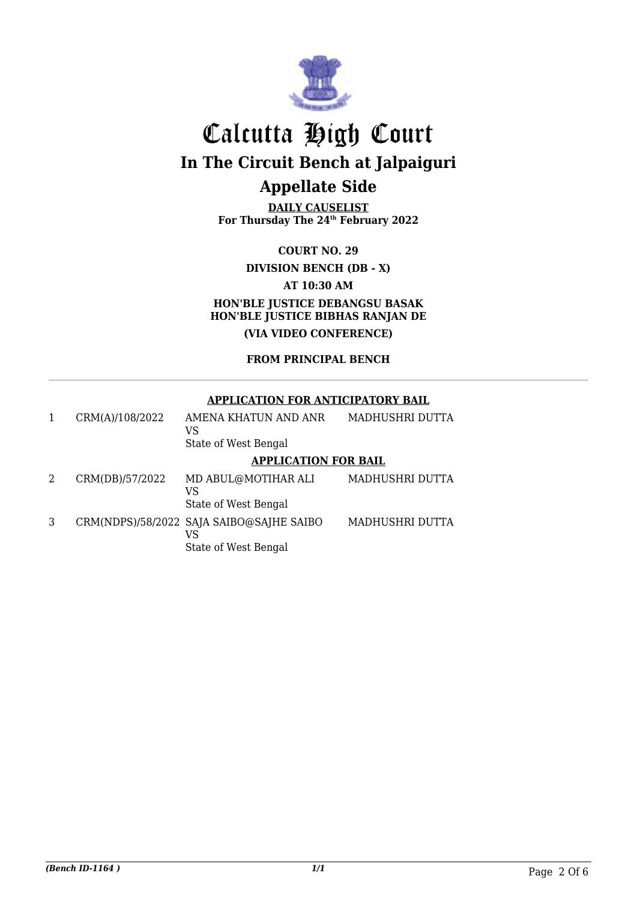

**DAILY CAUSELIST For Thursday The 24th February 2022**

**COURT NO. 29 DIVISION BENCH (DB - X) AT 10:30 AM HON'BLE JUSTICE DEBANGSU BASAK HON'BLE JUSTICE BIBHAS RANJAN DE (VIA VIDEO CONFERENCE)**

### **FROM PRINCIPAL BENCH**

#### **APPLICATION FOR ANTICIPATORY BAIL**

| 1 | CRM(A)/108/2022 | AMENA KHATUN AND ANR<br>VS                                             | MADHUSHRI DUTTA |
|---|-----------------|------------------------------------------------------------------------|-----------------|
|   |                 | State of West Bengal                                                   |                 |
|   |                 | <b>APPLICATION FOR BAIL</b>                                            |                 |
| 2 | CRM(DB)/57/2022 | MD ABUL@MOTIHAR ALI<br>VS<br>State of West Bengal                      | MADHUSHRI DUTTA |
| 3 |                 | CRM(NDPS)/58/2022 SAJA SAIBO@SAJHE SAIBO<br>VS<br>State of West Bengal | MADHUSHRI DUTTA |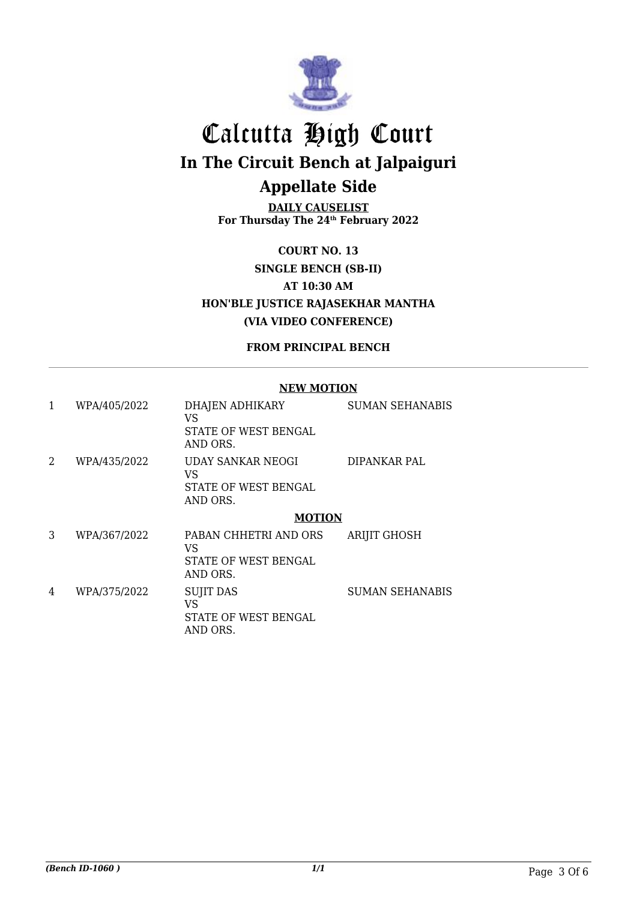

**DAILY CAUSELIST For Thursday The 24th February 2022**

**COURT NO. 13 SINGLE BENCH (SB-II) AT 10:30 AM HON'BLE JUSTICE RAJASEKHAR MANTHA (VIA VIDEO CONFERENCE)**

### **FROM PRINCIPAL BENCH**

#### **NEW MOTION**

| 1 | WPA/405/2022 | DHAJEN ADHIKARY<br>VS<br>STATE OF WEST BENGAL<br>AND ORS.          | <b>SUMAN SEHANABIS</b> |
|---|--------------|--------------------------------------------------------------------|------------------------|
| 2 | WPA/435/2022 | <b>UDAY SANKAR NEOGI</b><br>VS<br>STATE OF WEST BENGAL<br>AND ORS. | DIPANKAR PAL           |
|   |              | <b>MOTION</b>                                                      |                        |
| 3 | WPA/367/2022 | PABAN CHHETRI AND ORS<br>VS<br>STATE OF WEST BENGAL<br>AND ORS.    | <b>ARIJIT GHOSH</b>    |
| 4 | WPA/375/2022 | <b>SUJIT DAS</b><br>VS<br>STATE OF WEST BENGAL<br>AND ORS.         | <b>SUMAN SEHANABIS</b> |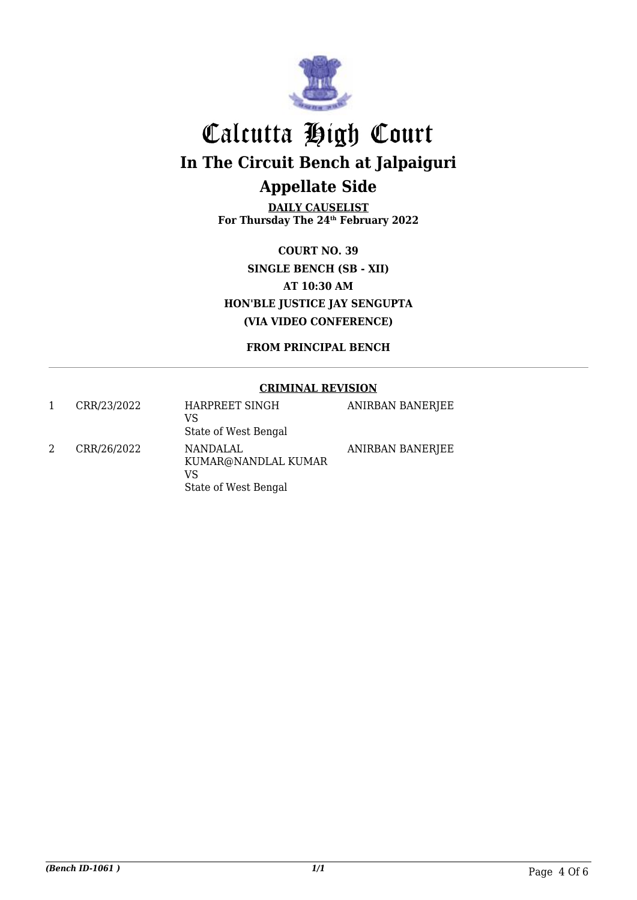

**DAILY CAUSELIST For Thursday The 24th February 2022**

**COURT NO. 39 SINGLE BENCH (SB - XII) AT 10:30 AM HON'BLE JUSTICE JAY SENGUPTA (VIA VIDEO CONFERENCE)**

**FROM PRINCIPAL BENCH**

### **CRIMINAL REVISION**

| CRR/23/2022 | HARPREET SINGH<br>VS<br>State of West Bengal                  | <b>ANIRBAN BANERJEE</b> |
|-------------|---------------------------------------------------------------|-------------------------|
| CRR/26/2022 | NANDALAL<br>KUMAR@NANDLAL KUMAR<br>VS<br>State of West Bengal | <b>ANIRBAN BANERJEE</b> |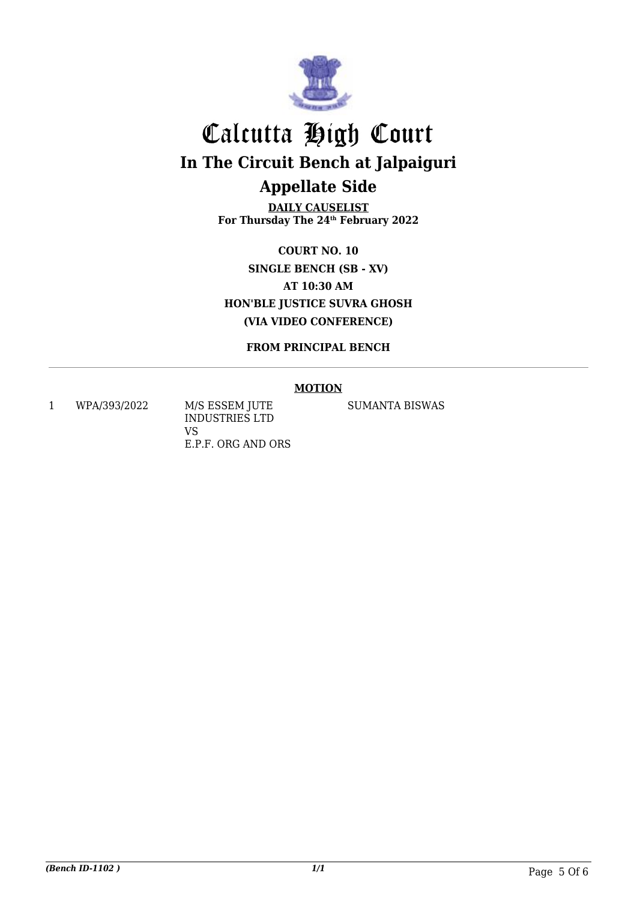

**DAILY CAUSELIST For Thursday The 24th February 2022**

**COURT NO. 10 SINGLE BENCH (SB - XV) AT 10:30 AM HON'BLE JUSTICE SUVRA GHOSH (VIA VIDEO CONFERENCE)**

**FROM PRINCIPAL BENCH**

### **MOTION**

1 WPA/393/2022 M/S ESSEM JUTE

INDUSTRIES LTD VS E.P.F. ORG AND ORS SUMANTA BISWAS